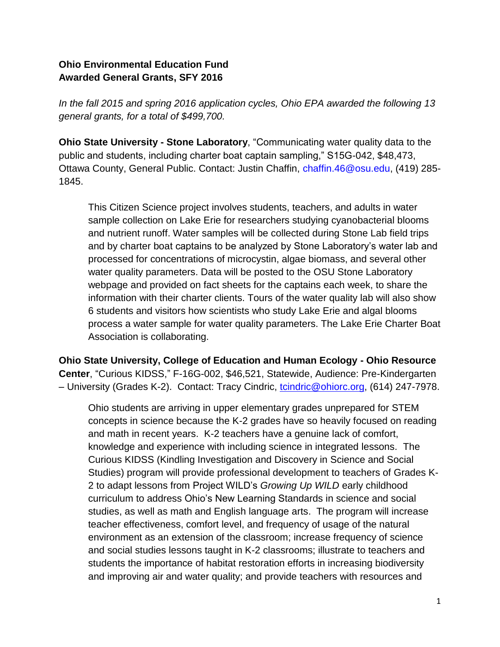## **Ohio Environmental Education Fund Awarded General Grants, SFY 2016**

*In the fall 2015 and spring 2016 application cycles, Ohio EPA awarded the following 13 general grants, for a total of \$499,700.*

**Ohio State University - Stone Laboratory**, "Communicating water quality data to the public and students, including charter boat captain sampling," S15G-042, \$48,473, Ottawa County, General Public. Contact: Justin Chaffin, chaffin.46@osu.edu, (419) 285- 1845.

This Citizen Science project involves students, teachers, and adults in water sample collection on Lake Erie for researchers studying cyanobacterial blooms and nutrient runoff. Water samples will be collected during Stone Lab field trips and by charter boat captains to be analyzed by Stone Laboratory's water lab and processed for concentrations of microcystin, algae biomass, and several other water quality parameters. Data will be posted to the OSU Stone Laboratory webpage and provided on fact sheets for the captains each week, to share the information with their charter clients. Tours of the water quality lab will also show 6 students and visitors how scientists who study Lake Erie and algal blooms process a water sample for water quality parameters. The Lake Erie Charter Boat Association is collaborating.

**Ohio State University, College of Education and Human Ecology - Ohio Resource Center**, "Curious KIDSS," F-16G-002, \$46,521, Statewide, Audience: Pre-Kindergarten – University (Grades K-2). Contact: Tracy Cindric, [tcindric@ohiorc.org,](mailto:tcindric@ohiorc.org) (614) 247-7978.

Ohio students are arriving in upper elementary grades unprepared for STEM concepts in science because the K-2 grades have so heavily focused on reading and math in recent years. K-2 teachers have a genuine lack of comfort, knowledge and experience with including science in integrated lessons. The Curious KIDSS (Kindling Investigation and Discovery in Science and Social Studies) program will provide professional development to teachers of Grades K-2 to adapt lessons from Project WILD's *Growing Up WILD* early childhood curriculum to address Ohio's New Learning Standards in science and social studies, as well as math and English language arts. The program will increase teacher effectiveness, comfort level, and frequency of usage of the natural environment as an extension of the classroom; increase frequency of science and social studies lessons taught in K-2 classrooms; illustrate to teachers and students the importance of habitat restoration efforts in increasing biodiversity and improving air and water quality; and provide teachers with resources and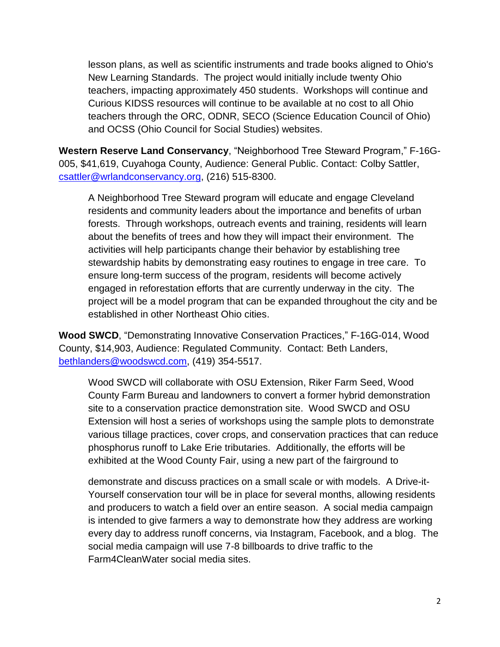lesson plans, as well as scientific instruments and trade books aligned to Ohio's New Learning Standards. The project would initially include twenty Ohio teachers, impacting approximately 450 students. Workshops will continue and Curious KIDSS resources will continue to be available at no cost to all Ohio teachers through the ORC, ODNR, SECO (Science Education Council of Ohio) and OCSS (Ohio Council for Social Studies) websites.

**Western Reserve Land Conservancy**, "Neighborhood Tree Steward Program," F-16G-005, \$41,619, Cuyahoga County, Audience: General Public. Contact: Colby Sattler, [csattler@wrlandconservancy.org,](mailto:csattler@wrlandconservancy.org) (216) 515-8300.

A Neighborhood Tree Steward program will educate and engage Cleveland residents and community leaders about the importance and benefits of urban forests. Through workshops, outreach events and training, residents will learn about the benefits of trees and how they will impact their environment. The activities will help participants change their behavior by establishing tree stewardship habits by demonstrating easy routines to engage in tree care. To ensure long-term success of the program, residents will become actively engaged in reforestation efforts that are currently underway in the city. The project will be a model program that can be expanded throughout the city and be established in other Northeast Ohio cities.

**Wood SWCD**, "Demonstrating Innovative Conservation Practices," F-16G-014, Wood County, \$14,903, Audience: Regulated Community. Contact: Beth Landers, [bethlanders@woodswcd.com,](mailto:bethlanders@woodswcd.com) (419) 354-5517.

Wood SWCD will collaborate with OSU Extension, Riker Farm Seed, Wood County Farm Bureau and landowners to convert a former hybrid demonstration site to a conservation practice demonstration site. Wood SWCD and OSU Extension will host a series of workshops using the sample plots to demonstrate various tillage practices, cover crops, and conservation practices that can reduce phosphorus runoff to Lake Erie tributaries. Additionally, the efforts will be exhibited at the Wood County Fair, using a new part of the fairground to

demonstrate and discuss practices on a small scale or with models. A Drive-it-Yourself conservation tour will be in place for several months, allowing residents and producers to watch a field over an entire season. A social media campaign is intended to give farmers a way to demonstrate how they address are working every day to address runoff concerns, via Instagram, Facebook, and a blog. The social media campaign will use 7-8 billboards to drive traffic to the Farm4CleanWater social media sites.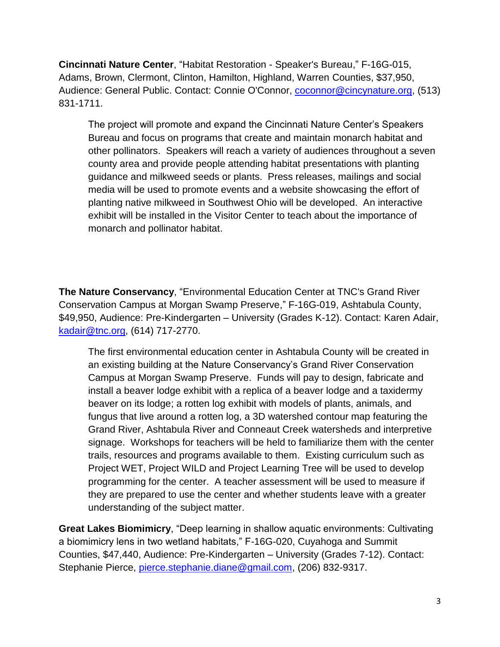**Cincinnati Nature Center**, "Habitat Restoration - Speaker's Bureau," F-16G-015, Adams, Brown, Clermont, Clinton, Hamilton, Highland, Warren Counties, \$37,950, Audience: General Public. Contact: Connie O'Connor, [coconnor@cincynature.org,](mailto:coconnor@cincynature.org) (513) 831-1711.

The project will promote and expand the Cincinnati Nature Center's Speakers Bureau and focus on programs that create and maintain monarch habitat and other pollinators. Speakers will reach a variety of audiences throughout a seven county area and provide people attending habitat presentations with planting guidance and milkweed seeds or plants. Press releases, mailings and social media will be used to promote events and a website showcasing the effort of planting native milkweed in Southwest Ohio will be developed. An interactive exhibit will be installed in the Visitor Center to teach about the importance of monarch and pollinator habitat.

**The Nature Conservancy**, "Environmental Education Center at TNC's Grand River Conservation Campus at Morgan Swamp Preserve," F-16G-019, Ashtabula County, \$49,950, Audience: Pre-Kindergarten – University (Grades K-12). Contact: Karen Adair, [kadair@tnc.org,](mailto:kadair@tnc.org) (614) 717-2770.

The first environmental education center in Ashtabula County will be created in an existing building at the Nature Conservancy's Grand River Conservation Campus at Morgan Swamp Preserve. Funds will pay to design, fabricate and install a beaver lodge exhibit with a replica of a beaver lodge and a taxidermy beaver on its lodge; a rotten log exhibit with models of plants, animals, and fungus that live around a rotten log, a 3D watershed contour map featuring the Grand River, Ashtabula River and Conneaut Creek watersheds and interpretive signage. Workshops for teachers will be held to familiarize them with the center trails, resources and programs available to them. Existing curriculum such as Project WET, Project WILD and Project Learning Tree will be used to develop programming for the center. A teacher assessment will be used to measure if they are prepared to use the center and whether students leave with a greater understanding of the subject matter.

**Great Lakes Biomimicry**, "Deep learning in shallow aquatic environments: Cultivating a biomimicry lens in two wetland habitats," F-16G-020, Cuyahoga and Summit Counties, \$47,440, Audience: Pre-Kindergarten – University (Grades 7-12). Contact: Stephanie Pierce, [pierce.stephanie.diane@gmail.com,](mailto:pierce.stephanie.diane@gmail.com) (206) 832-9317.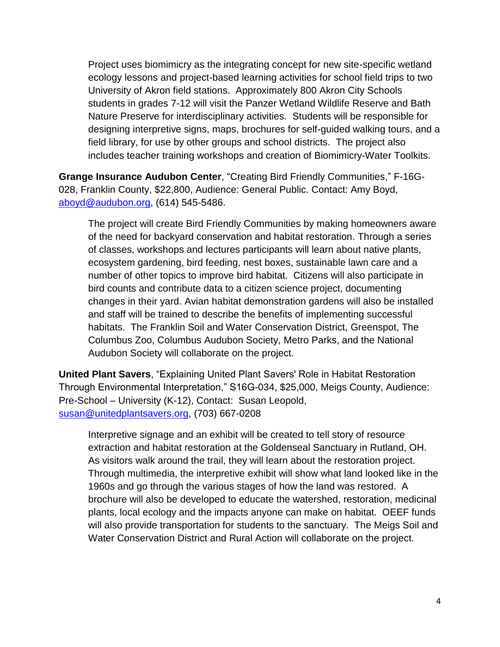Project uses biomimicry as the integrating concept for new site-specific wetland ecology lessons and project-based learning activities for school field trips to two University of Akron field stations. Approximately 800 Akron City Schools students in grades 7-12 will visit the Panzer Wetland Wildlife Reserve and Bath Nature Preserve for interdisciplinary activities. Students will be responsible for designing interpretive signs, maps, brochures for self-guided walking tours, and a field library, for use by other groups and school districts. The project also includes teacher training workshops and creation of Biomimicry-Water Toolkits.

**Grange Insurance Audubon Center**, "Creating Bird Friendly Communities," F-16G-028, Franklin County, \$22,800, Audience: General Public. Contact: Amy Boyd, [aboyd@audubon.org,](mailto:aboyd@audubon.org) (614) 545-5486.

The project will create Bird Friendly Communities by making homeowners aware of the need for backyard conservation and habitat restoration. Through a series of classes, workshops and lectures participants will learn about native plants, ecosystem gardening, bird feeding, nest boxes, sustainable lawn care and a number of other topics to improve bird habitat. Citizens will also participate in bird counts and contribute data to a citizen science project, documenting changes in their yard. Avian habitat demonstration gardens will also be installed and staff will be trained to describe the benefits of implementing successful habitats. The Franklin Soil and Water Conservation District, Greenspot, The Columbus Zoo, Columbus Audubon Society, Metro Parks, and the National Audubon Society will collaborate on the project.

**United Plant Savers**, "Explaining United Plant Savers' Role in Habitat Restoration Through Environmental Interpretation," S16G-034, \$25,000, Meigs County, Audience: Pre-School – University (K-12), Contact: Susan Leopold, [susan@unitedplantsavers.org,](mailto:susan@unitedplantsavers.org) (703) 667-0208

Interpretive signage and an exhibit will be created to tell story of resource extraction and habitat restoration at the Goldenseal Sanctuary in Rutland, OH. As visitors walk around the trail, they will learn about the restoration project. Through multimedia, the interpretive exhibit will show what land looked like in the 1960s and go through the various stages of how the land was restored. A brochure will also be developed to educate the watershed, restoration, medicinal plants, local ecology and the impacts anyone can make on habitat. OEEF funds will also provide transportation for students to the sanctuary. The Meigs Soil and Water Conservation District and Rural Action will collaborate on the project.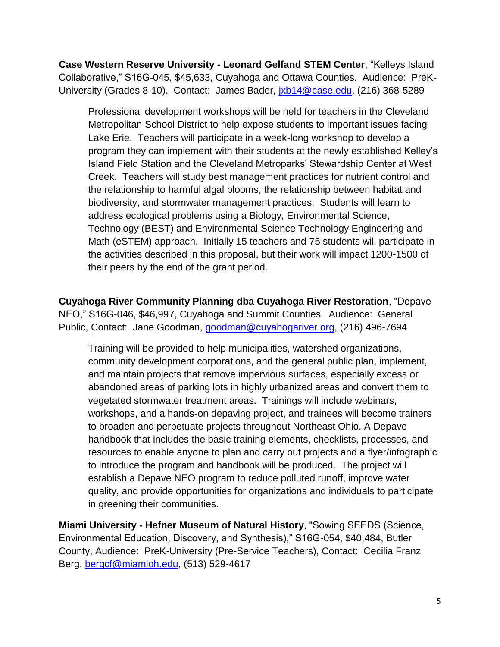**Case Western Reserve University - Leonard Gelfand STEM Center**, "Kelleys Island Collaborative," S16G-045, \$45,633, Cuyahoga and Ottawa Counties. Audience: PreK-University (Grades 8-10). Contact: James Bader, [jxb14@case.edu,](mailto:jxb14@case.edu) (216) 368-5289

Professional development workshops will be held for teachers in the Cleveland Metropolitan School District to help expose students to important issues facing Lake Erie. Teachers will participate in a week-long workshop to develop a program they can implement with their students at the newly established Kelley's Island Field Station and the Cleveland Metroparks' Stewardship Center at West Creek. Teachers will study best management practices for nutrient control and the relationship to harmful algal blooms, the relationship between habitat and biodiversity, and stormwater management practices. Students will learn to address ecological problems using a Biology, Environmental Science, Technology (BEST) and Environmental Science Technology Engineering and Math (eSTEM) approach. Initially 15 teachers and 75 students will participate in the activities described in this proposal, but their work will impact 1200-1500 of their peers by the end of the grant period.

**Cuyahoga River Community Planning dba Cuyahoga River Restoration**, "Depave NEO," S16G-046, \$46,997, Cuyahoga and Summit Counties. Audience: General Public, Contact: Jane Goodman, [goodman@cuyahogariver.org,](mailto:goodman@cuyahogariver.org) (216) 496-7694

Training will be provided to help municipalities, watershed organizations, community development corporations, and the general public plan, implement, and maintain projects that remove impervious surfaces, especially excess or abandoned areas of parking lots in highly urbanized areas and convert them to vegetated stormwater treatment areas. Trainings will include webinars, workshops, and a hands-on depaving project, and trainees will become trainers to broaden and perpetuate projects throughout Northeast Ohio. A Depave handbook that includes the basic training elements, checklists, processes, and resources to enable anyone to plan and carry out projects and a flyer/infographic to introduce the program and handbook will be produced. The project will establish a Depave NEO program to reduce polluted runoff, improve water quality, and provide opportunities for organizations and individuals to participate in greening their communities.

**Miami University - Hefner Museum of Natural History**, "Sowing SEEDS (Science, Environmental Education, Discovery, and Synthesis)," S16G-054, \$40,484, Butler County, Audience: PreK-University (Pre-Service Teachers), Contact: Cecilia Franz Berg, [bergcf@miamioh.edu,](mailto:bergcf@miamioh.edu) (513) 529-4617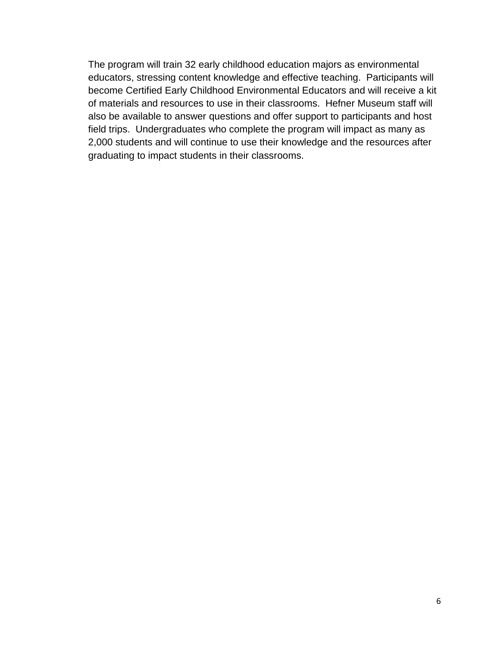The program will train 32 early childhood education majors as environmental educators, stressing content knowledge and effective teaching. Participants will become Certified Early Childhood Environmental Educators and will receive a kit of materials and resources to use in their classrooms. Hefner Museum staff will also be available to answer questions and offer support to participants and host field trips. Undergraduates who complete the program will impact as many as 2,000 students and will continue to use their knowledge and the resources after graduating to impact students in their classrooms.